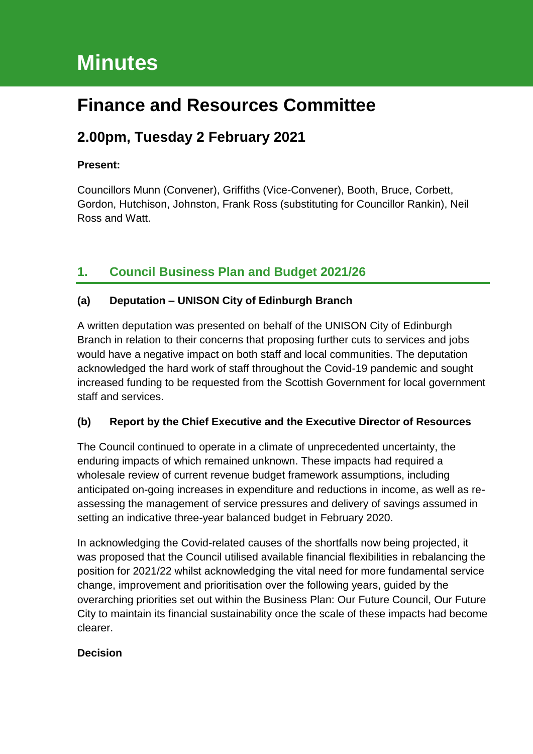# **Minutes**

## **Finance and Resources Committee**

## **2.00pm, Tuesday 2 February 2021**

## **Present:**

Councillors Munn (Convener), Griffiths (Vice-Convener), Booth, Bruce, Corbett, Gordon, Hutchison, Johnston, Frank Ross (substituting for Councillor Rankin), Neil Ross and Watt.

## **1. Council Business Plan and Budget 2021/26**

## **(a) Deputation – UNISON City of Edinburgh Branch**

A written deputation was presented on behalf of the UNISON City of Edinburgh Branch in relation to their concerns that proposing further cuts to services and jobs would have a negative impact on both staff and local communities. The deputation acknowledged the hard work of staff throughout the Covid-19 pandemic and sought increased funding to be requested from the Scottish Government for local government staff and services.

## **(b) Report by the Chief Executive and the Executive Director of Resources**

The Council continued to operate in a climate of unprecedented uncertainty, the enduring impacts of which remained unknown. These impacts had required a wholesale review of current revenue budget framework assumptions, including anticipated on-going increases in expenditure and reductions in income, as well as reassessing the management of service pressures and delivery of savings assumed in setting an indicative three-year balanced budget in February 2020.

In acknowledging the Covid-related causes of the shortfalls now being projected, it was proposed that the Council utilised available financial flexibilities in rebalancing the position for 2021/22 whilst acknowledging the vital need for more fundamental service change, improvement and prioritisation over the following years, guided by the overarching priorities set out within the Business Plan: Our Future Council, Our Future City to maintain its financial sustainability once the scale of these impacts had become clearer.

## **Decision**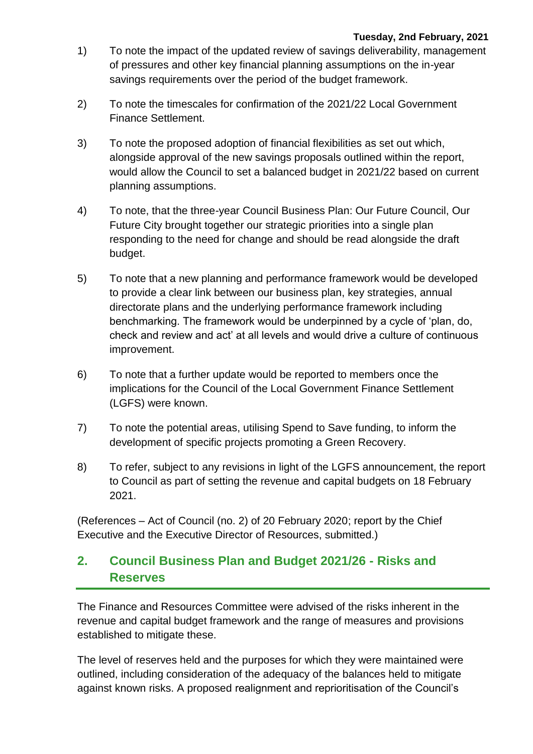- 1) To note the impact of the updated review of savings deliverability, management of pressures and other key financial planning assumptions on the in-year savings requirements over the period of the budget framework.
- 2) To note the timescales for confirmation of the 2021/22 Local Government Finance Settlement.
- 3) To note the proposed adoption of financial flexibilities as set out which, alongside approval of the new savings proposals outlined within the report, would allow the Council to set a balanced budget in 2021/22 based on current planning assumptions.
- 4) To note, that the three-year Council Business Plan: Our Future Council, Our Future City brought together our strategic priorities into a single plan responding to the need for change and should be read alongside the draft budget.
- 5) To note that a new planning and performance framework would be developed to provide a clear link between our business plan, key strategies, annual directorate plans and the underlying performance framework including benchmarking. The framework would be underpinned by a cycle of 'plan, do, check and review and act' at all levels and would drive a culture of continuous improvement.
- 6) To note that a further update would be reported to members once the implications for the Council of the Local Government Finance Settlement (LGFS) were known.
- 7) To note the potential areas, utilising Spend to Save funding, to inform the development of specific projects promoting a Green Recovery.
- 8) To refer, subject to any revisions in light of the LGFS announcement, the report to Council as part of setting the revenue and capital budgets on 18 February 2021.

(References – Act of Council (no. 2) of 20 February 2020; report by the Chief Executive and the Executive Director of Resources, submitted.)

## **2. Council Business Plan and Budget 2021/26 - Risks and Reserves**

The Finance and Resources Committee were advised of the risks inherent in the revenue and capital budget framework and the range of measures and provisions established to mitigate these.

The level of reserves held and the purposes for which they were maintained were outlined, including consideration of the adequacy of the balances held to mitigate against known risks. A proposed realignment and reprioritisation of the Council's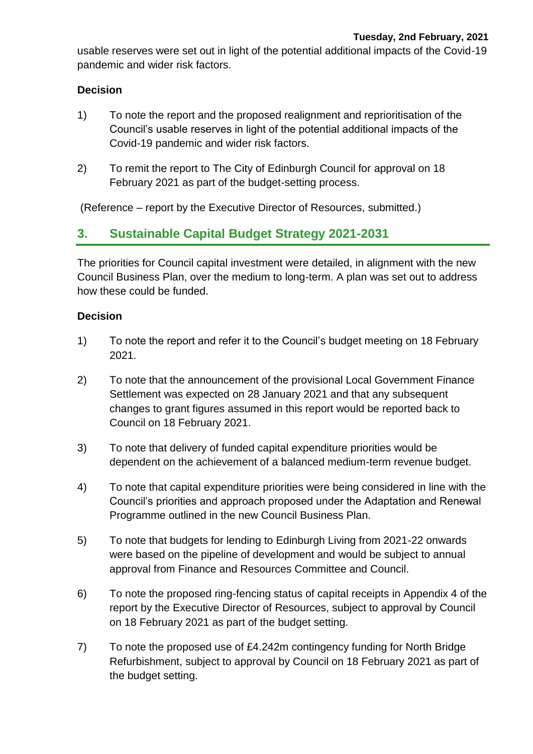usable reserves were set out in light of the potential additional impacts of the Covid-19 pandemic and wider risk factors.

### **Decision**

- 1) To note the report and the proposed realignment and reprioritisation of the Council's usable reserves in light of the potential additional impacts of the Covid-19 pandemic and wider risk factors.
- 2) To remit the report to The City of Edinburgh Council for approval on 18 February 2021 as part of the budget-setting process.

(Reference – report by the Executive Director of Resources, submitted.)

## **3. Sustainable Capital Budget Strategy 2021-2031**

The priorities for Council capital investment were detailed, in alignment with the new Council Business Plan, over the medium to long-term. A plan was set out to address how these could be funded.

#### **Decision**

- 1) To note the report and refer it to the Council's budget meeting on 18 February 2021.
- 2) To note that the announcement of the provisional Local Government Finance Settlement was expected on 28 January 2021 and that any subsequent changes to grant figures assumed in this report would be reported back to Council on 18 February 2021.
- 3) To note that delivery of funded capital expenditure priorities would be dependent on the achievement of a balanced medium-term revenue budget.
- 4) To note that capital expenditure priorities were being considered in line with the Council's priorities and approach proposed under the Adaptation and Renewal Programme outlined in the new Council Business Plan.
- 5) To note that budgets for lending to Edinburgh Living from 2021-22 onwards were based on the pipeline of development and would be subject to annual approval from Finance and Resources Committee and Council.
- 6) To note the proposed ring-fencing status of capital receipts in Appendix 4 of the report by the Executive Director of Resources, subject to approval by Council on 18 February 2021 as part of the budget setting.
- 7) To note the proposed use of £4.242m contingency funding for North Bridge Refurbishment, subject to approval by Council on 18 February 2021 as part of the budget setting.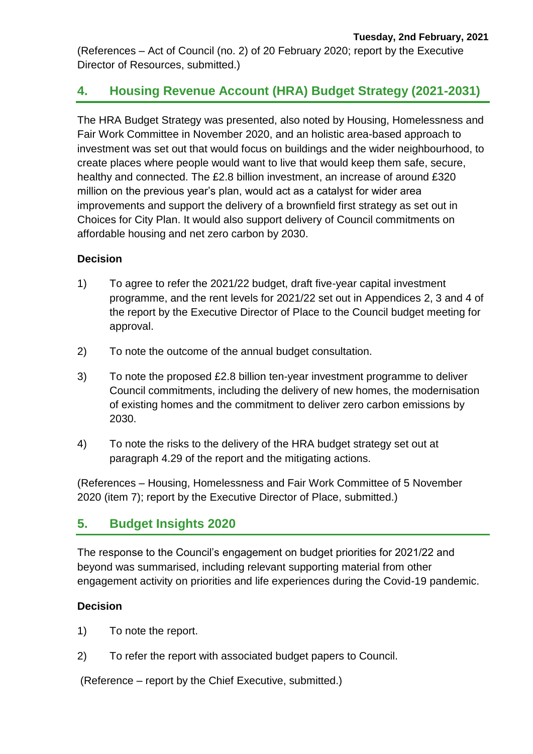(References – Act of Council (no. 2) of 20 February 2020; report by the Executive Director of Resources, submitted.)

## **4. Housing Revenue Account (HRA) Budget Strategy (2021-2031)**

The HRA Budget Strategy was presented, also noted by Housing, Homelessness and Fair Work Committee in November 2020, and an holistic area-based approach to investment was set out that would focus on buildings and the wider neighbourhood, to create places where people would want to live that would keep them safe, secure, healthy and connected. The £2.8 billion investment, an increase of around £320 million on the previous year's plan, would act as a catalyst for wider area improvements and support the delivery of a brownfield first strategy as set out in Choices for City Plan. It would also support delivery of Council commitments on affordable housing and net zero carbon by 2030.

### **Decision**

- 1) To agree to refer the 2021/22 budget, draft five-year capital investment programme, and the rent levels for 2021/22 set out in Appendices 2, 3 and 4 of the report by the Executive Director of Place to the Council budget meeting for approval.
- 2) To note the outcome of the annual budget consultation.
- 3) To note the proposed £2.8 billion ten-year investment programme to deliver Council commitments, including the delivery of new homes, the modernisation of existing homes and the commitment to deliver zero carbon emissions by 2030.
- 4) To note the risks to the delivery of the HRA budget strategy set out at paragraph 4.29 of the report and the mitigating actions.

(References – Housing, Homelessness and Fair Work Committee of 5 November 2020 (item 7); report by the Executive Director of Place, submitted.)

## **5. Budget Insights 2020**

The response to the Council's engagement on budget priorities for 2021/22 and beyond was summarised, including relevant supporting material from other engagement activity on priorities and life experiences during the Covid-19 pandemic.

### **Decision**

- 1) To note the report.
- 2) To refer the report with associated budget papers to Council.

(Reference – report by the Chief Executive, submitted.)